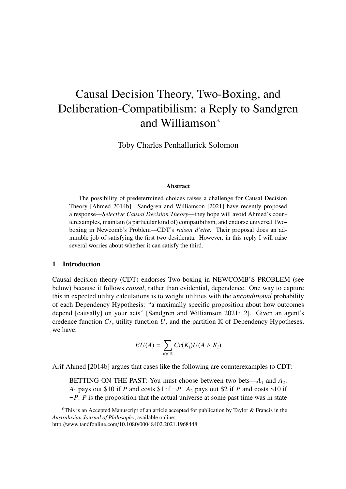# <span id="page-0-0"></span>Causal Decision Theory, Two-Boxing, and Deliberation-Compatibilism: a Reply to Sandgren and Williamson\*

Toby Charles Penhallurick Solomon

#### Abstract

The possibility of predetermined choices raises a challenge for Causal Decision Theory [Ahmed [2014b\]](#page-8-0). Sandgren and Williamson [2021] have recently proposed a response—*Selective Causal Decision Theory*—they hope will avoid Ahmed's counterexamples, maintain (a particular kind of) compatibilism, and endorse universal Twoboxing in Newcomb's Problem—CDT's *raison d'etre*. Their proposal does an admirable job of satisfying the first two desiderata. However, in this reply I will raise several worries about whether it can satisfy the third.

## 1 Introduction

Causal decision theory (CDT) endorses Two-boxing in NEWCOMB'S PROBLEM (see below) because it follows *causal*, rather than evidential, dependence. One way to capture this in expected utility calculations is to weight utilities with the *unconditional* probability of each Dependency Hypothesis: "a maximally specific proposition about how outcomes depend [causally] on your acts" [Sandgren and Williamson [2021:](#page-8-1) 2]. Given an agent's credence function  $Cr$ , utility function  $U$ , and the partition  $K$  of Dependency Hypotheses, we have:

$$
EU(A) = \sum_{K_i \in \mathbb{K}} Cr(K_i)U(A \wedge K_i)
$$

Arif Ahmed [\[2014b\]](#page-8-0) argues that cases like the following are counterexamples to CDT:

BETTING ON THE PAST: You must choose between two bets— $A_1$  and  $A_2$ . *A*<sub>1</sub> pays out \$10 if *P* and costs \$1 if  $\neg P$ . *A*<sub>2</sub> pays out \$2 if *P* and costs \$10 if  $\neg P$ . *P* is the proposition that the actual universe at some past time was in state

 $<sup>0</sup>$ This is an Accepted Manuscript of an article accepted for publication by Taylor & Francis in the</sup> *Australasian Journal of Philosophy*, available online:

http://www.tandfonline.com/10.1080/00048402.2021.1968448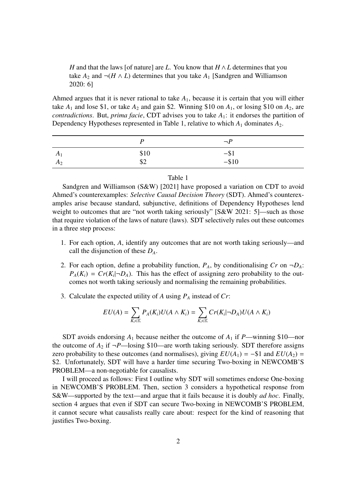*H* and that the laws [of nature] are *L*. You know that  $H \wedge L$  determines that you take  $A_2$  and  $\neg(H \wedge L)$  determines that you take  $A_1$  [Sandgren and Williamson 2020: 6]

Ahmed argues that it is never rational to take  $A_1$ , because it is certain that you will either take  $A_1$  and lose \$1, or take  $A_2$  and gain \$2. Winning \$10 on  $A_1$ , or losing \$10 on  $A_2$ , are *contradictions*. But, *prima facie*, CDT advises you to take *A*1: it endorses the partition of Dependency Hypotheses represented in Table [1,](#page-1-0) relative to which  $A_1$  dominates  $A_2$ .

<span id="page-1-0"></span>

|                |      | $\neg P$            |
|----------------|------|---------------------|
| A <sub>1</sub> | \$10 | $-$ \$1<br>$-$ \$10 |
| $A_2$          | \$2  |                     |

#### Table 1

Sandgren and Williamson (S&W) [2021] have proposed a variation on CDT to avoid Ahmed's counterexamples: *Selective Causal Decision Theory* (SDT). Ahmed's counterexamples arise because standard, subjunctive, definitions of Dependency Hypotheses lend weight to outcomes that are "not worth taking seriously" [S&W 2021: 5]—such as those that require violation of the laws of nature (laws). SDT selectively rules out these outcomes in a three step process:

- 1. For each option, *A*, identify any outcomes that are not worth taking seriously—and call the disjunction of these *DA*.
- 2. For each option, define a probability function,  $P_A$ , by conditionalising  $Cr$  on  $\neg D_A$ :  $P_A(K_i) = Cr(K_i | \neg D_A)$ . This has the effect of assigning zero probability to the outcomes not worth taking seriously and normalising the remaining probabilities.
- 3. Calculate the expected utility of *A* using *P<sup>A</sup>* instead of *Cr*:

$$
EU(A) = \sum_{K_i \in \mathbb{K}} P_A(K_i) U(A \wedge K_i) = \sum_{K_i \in \mathbb{K}} Cr(K_i | \neg D_A) U(A \wedge K_i)
$$

SDT avoids endorsing  $A_1$  because neither the outcome of  $A_1$  if *P*—winning \$10—nor the outcome of  $A_2$  if  $\neg P$ —losing \$10—are worth taking seriously. SDT therefore assigns zero probability to these outcomes (and normalises), giving  $EU(A_1) = -\$1$  and  $EU(A_2) =$ \$2. Unfortunately, SDT will have a harder time securing Two-boxing in NEWCOMB'S PROBLEM—a non-negotiable for causalists.

I will proceed as follows: First I outline why SDT will sometimes endorse One-boxing in NEWCOMB'S PROBLEM. Then, section [3](#page-3-0) considers a hypothetical response from S&W—supported by the text—and argue that it fails because it is doubly *ad hoc*. Finally, section [4](#page-6-0) argues that even if SDT can secure Two-boxing in NEWCOMB'S PROBLEM, it cannot secure what causalists really care about: respect for the kind of reasoning that justifies Two-boxing.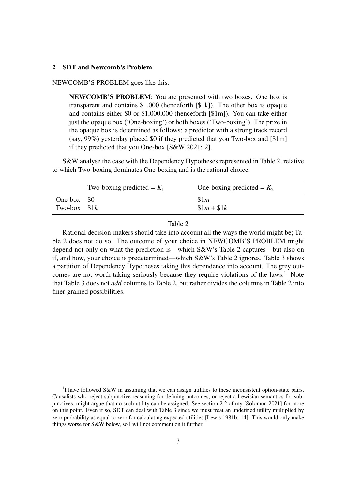## 2 SDT and Newcomb's Problem

NEWCOMB'S PROBLEM goes like this:

NEWCOMB'S PROBLEM: You are presented with two boxes. One box is transparent and contains \$1,000 (henceforth [\$1k]). The other box is opaque and contains either \$0 or \$1,000,000 (henceforth [\$1m]). You can take either just the opaque box ('One-boxing') or both boxes ('Two-boxing'). The prize in the opaque box is determined as follows: a predictor with a strong track record (say, 99%) yesterday placed \$0 if they predicted that you Two-box and [\$1m] if they predicted that you One-box [S&W 2021: 2].

S&W analyse the case with the Dependency Hypotheses represented in Table [2,](#page-2-0) relative to which Two-boxing dominates One-boxing and is the rational choice.

<span id="page-2-0"></span>

|               | Two-boxing predicted = $K_1$ | One-boxing predicted = $K_2$ |
|---------------|------------------------------|------------------------------|
| One-box $\$0$ |                              | \$1m                         |
| Two-box $$1k$ |                              | $$1m + $1k$                  |

Table 2

Rational decision-makers should take into account all the ways the world might be; Table [2](#page-2-0) does not do so. The outcome of your choice in NEWCOMB'S PROBLEM might depend not only on what the prediction is—which S&W's Table [2](#page-2-0) captures—but also on if, and how, your choice is predetermined—which S&W's Table [2](#page-2-0) ignores. Table [3](#page-3-1) shows a partition of Dependency Hypotheses taking this dependence into account. The grey out-comes are not worth taking seriously because they require violations of the laws.<sup>[1](#page-0-0)</sup> Note that Table [3](#page-3-1) does not *add* columns to Table [2,](#page-2-0) but rather divides the columns in Table [2](#page-2-0) into finer-grained possibilities.

<sup>&</sup>lt;sup>1</sup>I have followed S&W in assuming that we can assign utilities to these inconsistent option-state pairs. Causalists who reject subjunctive reasoning for defining outcomes, or reject a Lewisian semantics for subjunctives, might argue that no such utility can be assigned. See section 2.2 of my [Solomon [2021\]](#page-8-2) for more on this point. Even if so, SDT can deal with Table [3](#page-3-1) since we must treat an undefined utility multiplied by zero probability as equal to zero for calculating expected utilities [Lewis [1981b:](#page-8-3) 14]. This would only make things worse for S&W below, so I will not comment on it further.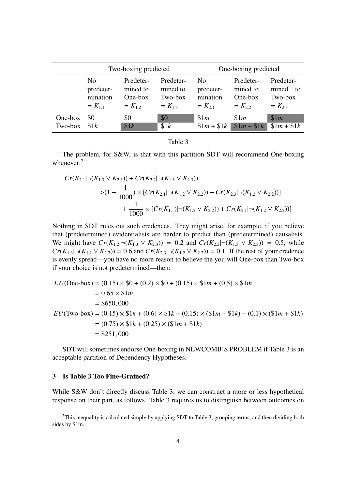<span id="page-3-1"></span>

|         | Two-boxing predicted |             |             | One-boxing predicted |             |             |
|---------|----------------------|-------------|-------------|----------------------|-------------|-------------|
|         | N <sub>0</sub>       | Predeter-   | Predeter-   | N <sub>0</sub>       | Predeter-   | Predeter-   |
|         | predeter-            | mined to    | mined to    | predeter-            | mined to    | mined to    |
|         | mination             | One-box     | Two-box     | mination             | One-box     | Two-box     |
|         | $= K_{1.1}$          | $= K_{1,2}$ | $= K_{1,3}$ | $= K_{2,1}$          | $= K_{2,2}$ | $= K_{2,3}$ |
| One-box | \$0                  | \$0         | \$0         | \$1m                 | \$1m        | \$1m        |
| Two-box | \$1k                 | \$1k        | \$1k        | $$1m + $1k$$         | $$1m + $1k$ | $$1m + $1k$ |

Table 3

The problem, for S&W, is that with this partition SDT will recommend One-boxing whenever:<sup>[2](#page-0-0)</sup>

$$
Cr(K_{2.1}|\neg(K_{1.3} \vee K_{2.3})) + Cr(K_{2.2}|\neg(K_{1.3} \vee K_{2.3}))
$$
  
>
$$
(1 + \frac{1}{1000}) \times [Cr(K_{2.1}|\neg(K_{1.2} \vee K_{2.2})) + Cr(K_{2.3}|\neg(K_{1.2} \vee K_{2.2}))]
$$
  
+
$$
\frac{1}{1000} \times [Cr(K_{1.1})|\neg(K_{1.2} \vee K_{2.2})) + Cr(K_{2.1}|\neg(K_{1.2} \vee K_{2.2}))]
$$

Nothing in SDT rules out such credences. They might arise, for example, if you believe that (predetermined) evidentialists are harder to predict than (predetermined) causalists. We might have  $Cr(K_{1,2}|\neg(K_{1,3} \vee K_{2,3})) = 0.2$  and  $Cr(K_{2,2}|\neg(K_{1,3} \vee K_{2,3})) = 0.5$ , while  $Cr(K_{1,3} | \neg (K_{1,2} \vee K_{2,2})) = 0.6$  and  $Cr(K_{2,3} | \neg (K_{1,2} \vee K_{2,2})) = 0.1$ . If the rest of your credence is evenly spread—you have no more reason to believe the you will One-box than Two-box if your choice is not predetermined—then:

$$
EU(\text{One-box}) = (0.15) \times \$0 + (0.2) \times \$0 + (0.15) \times \$1m + (0.5) \times \$1m
$$
  
= 0.65 × \\$1m  
= \\$650,000  

$$
EU(\text{Two-box}) = (0.15) \times \$1k + (0.6) \times \$1k + (0.15) \times (\$1m + \$1k) + (0.1) \times (\$1m + \$1k)
$$
  
= (0.75) × \\$1k + (0.25) × (\\$1m + \\$1k)  
= \\$251,000

SDT will sometimes endorse One-boxing in NEWCOMB'S PROBLEM if Table [3](#page-3-1) is an acceptable partition of Dependency Hypotheses.

#### <span id="page-3-0"></span>3 Is Table [3](#page-3-1) Too Fine-Grained?

While S&W don't directly discuss Table [3,](#page-3-1) we can construct a more or less hypothetical response on their part, as follows. Table [3](#page-3-1) requires us to distinguish between outcomes on

 $2$ This inequality is calculated simply by applying SDT to Table [3,](#page-3-1) grouping terms, and then dividing both sides by \$1m.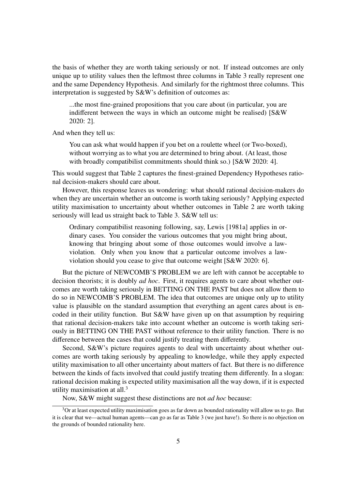the basis of whether they are worth taking seriously or not. If instead outcomes are only unique up to utility values then the leftmost three columns in Table [3](#page-3-1) really represent one and the same Dependency Hypothesis. And similarly for the rightmost three columns. This interpretation is suggested by S&W's definition of outcomes as:

...the most fine-grained propositions that you care about (in particular, you are indifferent between the ways in which an outcome might be realised) [S&W 2020: 2].

And when they tell us:

You can ask what would happen if you bet on a roulette wheel (or Two-boxed), without worrying as to what you are determined to bring about. (At least, those with broadly compatibilist commitments should think so.) [S&W 2020: 4].

This would suggest that Table [2](#page-2-0) captures the finest-grained Dependency Hypotheses rational decision-makers should care about.

However, this response leaves us wondering: what should rational decision-makers do when they are uncertain whether an outcome is worth taking seriously? Applying expected utility maximisation to uncertainty about whether outcomes in Table [2](#page-2-0) are worth taking seriously will lead us straight back to Table [3.](#page-3-1) S&W tell us:

Ordinary compatibilist reasoning following, say, Lewis [1981a] applies in ordinary cases. You consider the various outcomes that you might bring about, knowing that bringing about some of those outcomes would involve a lawviolation. Only when you know that a particular outcome involves a lawviolation should you cease to give that outcome weight [S&W 2020: 6].

But the picture of NEWCOMB'S PROBLEM we are left with cannot be acceptable to decision theorists; it is doubly *ad hoc*. First, it requires agents to care about whether outcomes are worth taking seriously in BETTING ON THE PAST but does not allow them to do so in NEWCOMB'S PROBLEM. The idea that outcomes are unique only up to utility value is plausible on the standard assumption that everything an agent cares about is encoded in their utility function. But S&W have given up on that assumption by requiring that rational decision-makers take into account whether an outcome is worth taking seriously in BETTING ON THE PAST without reference to their utility function. There is no difference between the cases that could justify treating them differently.

Second, S&W's picture requires agents to deal with uncertainty about whether outcomes are worth taking seriously by appealing to knowledge, while they apply expected utility maximisation to all other uncertainty about matters of fact. But there is no difference between the kinds of facts involved that could justify treating them differently. In a slogan: rational decision making is expected utility maximisation all the way down, if it is expected utility maximisation at all.[3](#page-0-0)

Now, S&W might suggest these distinctions are not *ad hoc* because:

 $3$ Or at least expected utility maximisation goes as far down as bounded rationality will allow us to go. But it is clear that we—actual human agents—can go as far as Table [3](#page-3-1) (we just have!). So there is no objection on the grounds of bounded rationality here.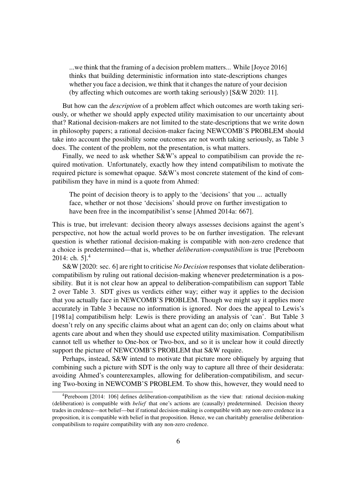...we think that the framing of a decision problem matters... While [Joyce 2016] thinks that building deterministic information into state-descriptions changes whether you face a decision, we think that it changes the nature of your decision (by affecting which outcomes are worth taking seriously) [S&W 2020: 11].

But how can the *description* of a problem affect which outcomes are worth taking seriously, or whether we should apply expected utility maximisation to our uncertainty about that? Rational decision-makers are not limited to the state-descriptions that we write down in philosophy papers; a rational decision-maker facing NEWCOMB'S PROBLEM should take into account the possibility some outcomes are not worth taking seriously, as Table [3](#page-3-1) does. The content of the problem, not the presentation, is what matters.

Finally, we need to ask whether S&W's appeal to compatibilism can provide the required motivation. Unfortunately, exactly how they intend compatibilism to motivate the required picture is somewhat opaque. S&W's most concrete statement of the kind of compatibilism they have in mind is a quote from Ahmed:

The point of decision theory is to apply to the 'decisions' that you ... actually face, whether or not those 'decisions' should prove on further investigation to have been free in the incompatibilist's sense [Ahmed [2014a:](#page-8-4) 667].

This is true, but irrelevant: decision theory always assesses decisions against the agent's perspective, not how the actual world proves to be on further investigation. The relevant question is whether rational decision-making is compatible with non-zero credence that a choice is predetermined—that is, whether *deliberation-compatibilism* is true [Pereboom [2014:](#page-8-5) ch.  $51<sup>4</sup>$  $51<sup>4</sup>$  $51<sup>4</sup>$ 

S&W [2020: sec. 6] are right to criticise *No Decision* responses that violate deliberationcompatibilism by ruling out rational decision-making whenever predetermination is a possibility. But it is not clear how an appeal to deliberation-compatibilism can support Table [2](#page-2-0) over Table [3.](#page-3-1) SDT gives us verdicts either way; either way it applies to the decision that you actually face in NEWCOMB'S PROBLEM. Though we might say it applies more accurately in Table [3](#page-3-1) because no information is ignored. Nor does the appeal to Lewis's [1981a] compatibilism help: Lewis is there providing an analysis of 'can'. But Table [3](#page-3-1) doesn't rely on any specific claims about what an agent can do; only on claims about what agents care about and when they should use expected utility maximisation. Compatibilism cannot tell us whether to One-box or Two-box, and so it is unclear how it could directly support the picture of NEWCOMB'S PROBLEM that S&W require.

Perhaps, instead, S&W intend to motivate that picture more obliquely by arguing that combining such a picture with SDT is the only way to capture all three of their desiderata: avoiding Ahmed's counterexamples, allowing for deliberation-compatibilism, and securing Two-boxing in NEWCOMB'S PROBLEM. To show this, however, they would need to

<sup>4</sup>Pereboom [2014: 106] defines deliberation-compatibilism as the view that: rational decision-making (deliberation) is compatible with *belief* that one's actions are (causally) predetermined. Decision theory trades in credence—not belief—but if rational decision-making is compatible with any non-zero credence in a proposition, it is compatible with belief in that proposition. Hence, we can charitably generalise deliberationcompatibilism to require compatibility with any non-zero credence.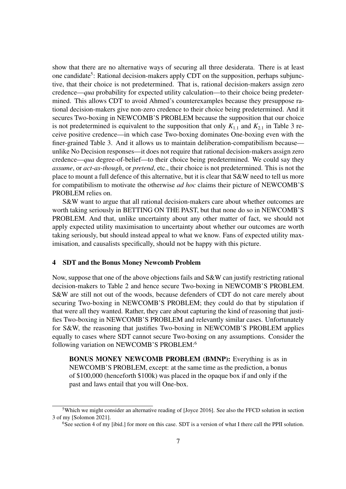show that there are no alternative ways of securing all three desiderata. There is at least one candidate<sup>[5](#page-0-0)</sup>: Rational decision-makers apply CDT on the supposition, perhaps subjunctive, that their choice is not predetermined. That is, rational decision-makers assign zero credence—*qua* probability for expected utility calculation—to their choice being predetermined. This allows CDT to avoid Ahmed's counterexamples because they presuppose rational decision-makers give non-zero credence to their choice being predetermined. And it secures Two-boxing in NEWCOMB'S PROBLEM because the supposition that our choice is not predetermined is equivalent to the supposition that only  $K_{1,1}$  and  $K_{2,1}$  in Table [3](#page-3-1) receive positive credence—in which case Two-boxing dominates One-boxing even with the finer-grained Table 3. And it allows us to maintain deliberation-compatibilism because unlike No Decision responses—it does not require that rational decision-makers assign zero credence—*qua* degree-of-belief—to their choice being predetermined. We could say they *assume*, or *act-as-though*, or *pretend*, etc., their choice is not predetermined. This is not the place to mount a full defence of this alternative, but it is clear that S&W need to tell us more for compatibilism to motivate the otherwise *ad hoc* claims their picture of NEWCOMB'S PROBLEM relies on.

S&W want to argue that all rational decision-makers care about whether outcomes are worth taking seriously in BETTING ON THE PAST, but that none do so in NEWCOMB'S PROBLEM. And that, unlike uncertainty about any other matter of fact, we should not apply expected utility maximisation to uncertainty about whether our outcomes are worth taking seriously, but should instead appeal to what we know. Fans of expected utility maximisation, and causalists specifically, should not be happy with this picture.

#### <span id="page-6-0"></span>4 SDT and the Bonus Money Newcomb Problem

Now, suppose that one of the above objections fails and S&W can justify restricting rational decision-makers to Table [2](#page-2-0) and hence secure Two-boxing in NEWCOMB'S PROBLEM. S&W are still not out of the woods, because defenders of CDT do not care merely about securing Two-boxing in NEWCOMB'S PROBLEM; they could do that by stipulation if that were all they wanted. Rather, they care about capturing the kind of reasoning that justifies Two-boxing in NEWCOMB'S PROBLEM and relevantly similar cases. Unfortunately for S&W, the reasoning that justifies Two-boxing in NEWCOMB'S PROBLEM applies equally to cases where SDT cannot secure Two-boxing on any assumptions. Consider the following variation on NEWCOMB'S PROBLEM:[6](#page-0-0)

BONUS MONEY NEWCOMB PROBLEM (BMNP): Everything is as in NEWCOMB'S PROBLEM, except: at the same time as the prediction, a bonus of \$100,000 (henceforth \$100k) was placed in the opaque box if and only if the past and laws entail that you will One-box.

<sup>&</sup>lt;sup>5</sup>Which we might consider an alternative reading of [Joyce [2016\]](#page-8-6). See also the FFCD solution in section 3 of my [Solomon [2021\]](#page-8-2).

<sup>&</sup>lt;sup>6</sup>See section 4 of my [\[ibid.\]](#page-8-2) for more on this case. SDT is a version of what I there call the PPII solution.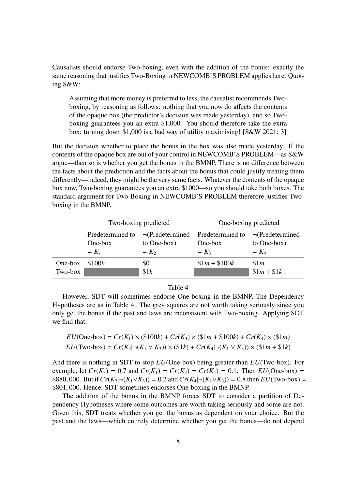Causalists should endorse Two-boxing, even with the addition of the bonus: exactly the same reasoning that justifies Two-Boxing in NEWCOMB'S PROBLEM applies here. Quoting S&W:

Assuming that more money is preferred to less, the causalist recommends Twoboxing, by reasoning as follows: nothing that you now do affects the contents of the opaque box (the predictor's decision was made yesterday), and so Twoboxing guarantees you an extra \$1,000. You should therefore take the extra box: turning down \$1,000 is a bad way of utility maximising! [S&W 2021: 3]

But the decision whether to place the bonus in the box was also made yesterday. If the contents of the opaque box are out of your control in NEWCOMB'S PROBLEM—as S&W argue—then so is whether you get the bonus in the BMNP. There is no difference between the facts about the prediction and the facts about the bonus that could justify treating them differently—indeed, they might be the very same facts. Whatever the contents of the opaque box now, Two-boxing guarantees you an extra \$1000—so you should take both boxes. The standard argument for Two-Boxing in NEWCOMB'S PROBLEM therefore justifies Twoboxing in the BMNP.

<span id="page-7-0"></span>

|                    | Two-boxing predicted                   |                        | One-boxing predicted                                         |                                                 |
|--------------------|----------------------------------------|------------------------|--------------------------------------------------------------|-------------------------------------------------|
|                    | Predetermined to<br>One-box<br>$= K_1$ | to One-box)<br>$= K_2$ | $\neg$ (Predetermined Predetermined to<br>One-box<br>$= K_3$ | $\neg$ (Predetermined<br>to One-box)<br>$= K_4$ |
| One-box<br>Two-box | \$100k                                 | \$0<br>\$1k            | $$1m + $100k$                                                | \$1m<br>$$1m + $1k$                             |

#### Table 4

However, SDT will sometimes endorse One-boxing in the BMNP. The Dependency Hypotheses are as in Table [4.](#page-7-0) The grey squares are not worth taking seriously since you only get the bonus if the past and laws are inconsistent with Two-boxing. Applying SDT we find that:

$$
EU(\text{One-box}) = Cr(K_1) \times (\$100k) + Cr(K_3) \times (\$1m + \$100k) + Cr(K_4) \times (\$1m)
$$
  

$$
EU(\text{Two-box}) = Cr(K_2|\neg(K_1 \vee K_3)) \times (\$1k) + Cr(K_4|\neg(K_1 \vee K_3)) \times (\$1m + \$1k)
$$

And there is nothing in SDT to stop *EU*(One-box) being greater than *EU*(Two-box). For example, let  $Cr(K_3) = 0.7$  and  $Cr(K_1) = Cr(K_2) = Cr(K_4) = 0.1$ . Then  $EU(\text{One-box}) =$ \$880, 000. But if  $Cr(K_2) \neg (K_1 \vee K_3) = 0.2$  and  $Cr(K_4) \neg (K_1 \vee K_3) = 0.8$  then  $EU(\text{Two-box}) =$ \$801, 000. Hence, SDT sometimes endorses One-boxing in the BMNP.

The addition of the bonus in the BMNP forces SDT to consider a partition of Dependency Hypotheses where some outcomes are worth taking seriously and some are not. Given this, SDT treats whether you get the bonus as dependent on your choice. But the past and the laws—which entirely determine whether you get the bonus—do not depend